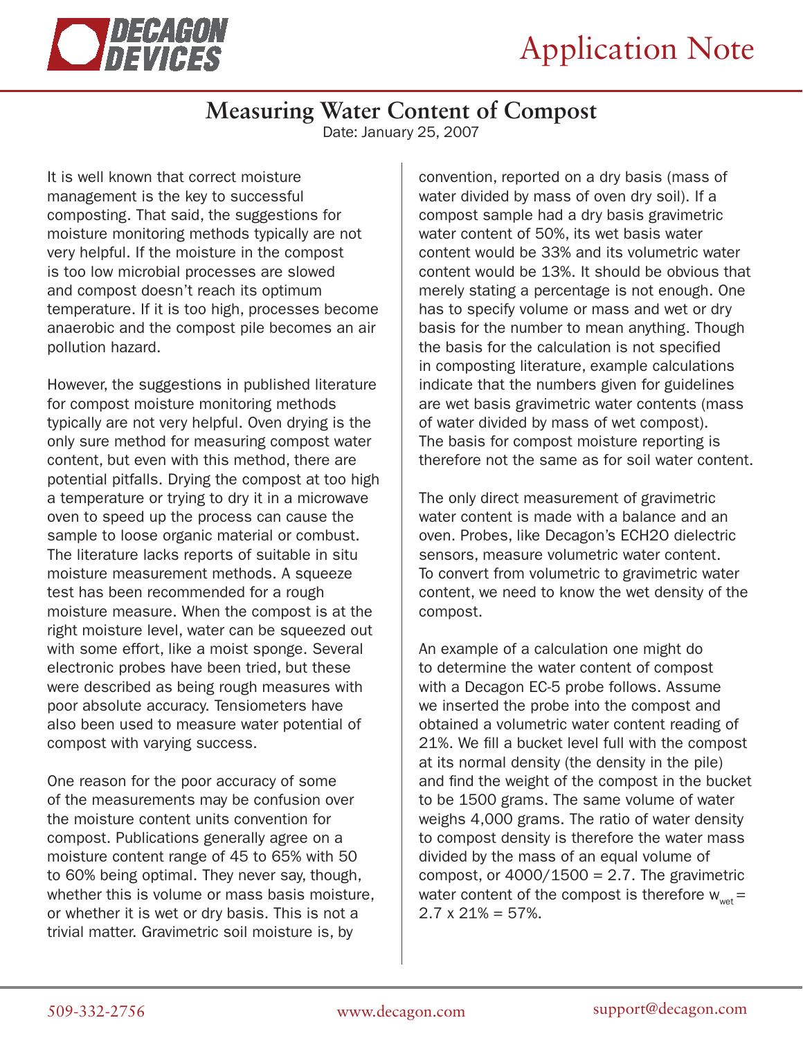

## **Measuring Water Content of Compost**

Date: January 25, 2007

It is well known that correct moisture management is the key to successful composting. That said, the suggestions for moisture monitoring methods typically are not very helpful. If the moisture in the compost is too low microbial processes are slowed and compost doesn't reach its optimum temperature. If it is too high, processes become anaerobic and the compost pile becomes an air pollution hazard.

However, the suggestions in published literature for compost moisture monitoring methods typically are not very helpful. Oven drying is the only sure method for measuring compost water content, but even with this method, there are potential pitfalls. Drying the compost at too high a temperature or trying to dry it in a microwave oven to speed up the process can cause the sample to loose organic material or combust. The literature lacks reports of suitable in situ moisture measurement methods. A squeeze test has been recommended for a rough moisture measure. When the compost is at the right moisture level, water can be squeezed out with some effort, like a moist sponge. Several electronic probes have been tried, but these were described as being rough measures with poor absolute accuracy. Tensiometers have also been used to measure water potential of compost with varying success.

One reason for the poor accuracy of some of the measurements may be confusion over the moisture content units convention for compost. Publications generally agree on a moisture content range of 45 to 65% with 50 to 60% being optimal. They never say, though, whether this is volume or mass basis moisture, or whether it is wet or dry basis. This is not a trivial matter. Gravimetric soil moisture is, by

convention, reported on a dry basis (mass of water divided by mass of oven dry soil). If a compost sample had a dry basis gravimetric water content of 50%, its wet basis water content would be 33% and its volumetric water content would be 13%. It should be obvious that merely stating a percentage is not enough. One has to specify volume or mass and wet or dry basis for the number to mean anything. Though the basis for the calculation is not specified in composting literature, example calculations indicate that the numbers given for guidelines are wet basis gravimetric water contents (mass of water divided by mass of wet compost). The basis for compost moisture reporting is therefore not the same as for soil water content.

The only direct measurement of gravimetric water content is made with a balance and an oven. Probes, like Decagon's ECH2O dielectric sensors, measure volumetric water content. To convert from volumetric to gravimetric water content, we need to know the wet density of the compost.

An example of a calculation one might do to determine the water content of compost with a Decagon EC-5 probe follows. Assume we inserted the probe into the compost and obtained a volumetric water content reading of 21%. We fill a bucket level full with the compost at its normal density (the density in the pile) and find the weight of the compost in the bucket to be 1500 grams. The same volume of water weighs 4,000 grams. The ratio of water density to compost density is therefore the water mass divided by the mass of an equal volume of compost, or  $4000/1500 = 2.7$ . The gravimetric water content of the compost is therefore  $w_{\text{test}} =$  $2.7 \times 21\% = 57\%.$